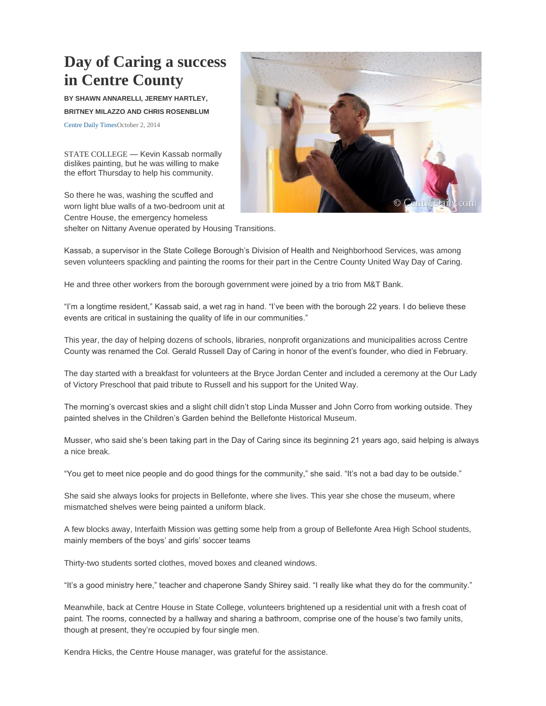## **Day of Caring a success in Centre County**

**BY SHAWN ANNARELLI, JEREMY HARTLEY, BRITNEY MILAZZO AND CHRIS ROSENBLUM**

[Centre Daily TimesO](mailto:Centre%20Daily%20Times)ctober 2, 2014

STATE COLLEGE — Kevin Kassab normally dislikes painting, but he was willing to make the effort Thursday to help his community.

So there he was, washing the scuffed and worn light blue walls of a two-bedroom unit at Centre House, the emergency homeless shelter on Nittany Avenue operated by Housing Transitions.



Kassab, a supervisor in the State College Borough's Division of Health and Neighborhood Services, was among seven volunteers spackling and painting the rooms for their part in the Centre County United Way Day of Caring.

He and three other workers from the borough government were joined by a trio from M&T Bank.

"I'm a longtime resident," Kassab said, a wet rag in hand. "I've been with the borough 22 years. I do believe these events are critical in sustaining the quality of life in our communities."

This year, the day of helping dozens of schools, libraries, nonprofit organizations and municipalities across Centre County was renamed the Col. Gerald Russell Day of Caring in honor of the event's founder, who died in February.

The day started with a breakfast for volunteers at the Bryce Jordan Center and included a ceremony at the Our Lady of Victory Preschool that paid tribute to Russell and his support for the United Way.

The morning's overcast skies and a slight chill didn't stop Linda Musser and John Corro from working outside. They painted shelves in the Children's Garden behind the Bellefonte Historical Museum.

Musser, who said she's been taking part in the Day of Caring since its beginning 21 years ago, said helping is always a nice break.

"You get to meet nice people and do good things for the community," she said. "It's not a bad day to be outside."

She said she always looks for projects in Bellefonte, where she lives. This year she chose the museum, where mismatched shelves were being painted a uniform black.

A few blocks away, Interfaith Mission was getting some help from a group of Bellefonte Area High School students, mainly members of the boys' and girls' soccer teams

Thirty-two students sorted clothes, moved boxes and cleaned windows.

"It's a good ministry here," teacher and chaperone Sandy Shirey said. "I really like what they do for the community."

Meanwhile, back at Centre House in State College, volunteers brightened up a residential unit with a fresh coat of paint. The rooms, connected by a hallway and sharing a bathroom, comprise one of the house's two family units, though at present, they're occupied by four single men.

Kendra Hicks, the Centre House manager, was grateful for the assistance.